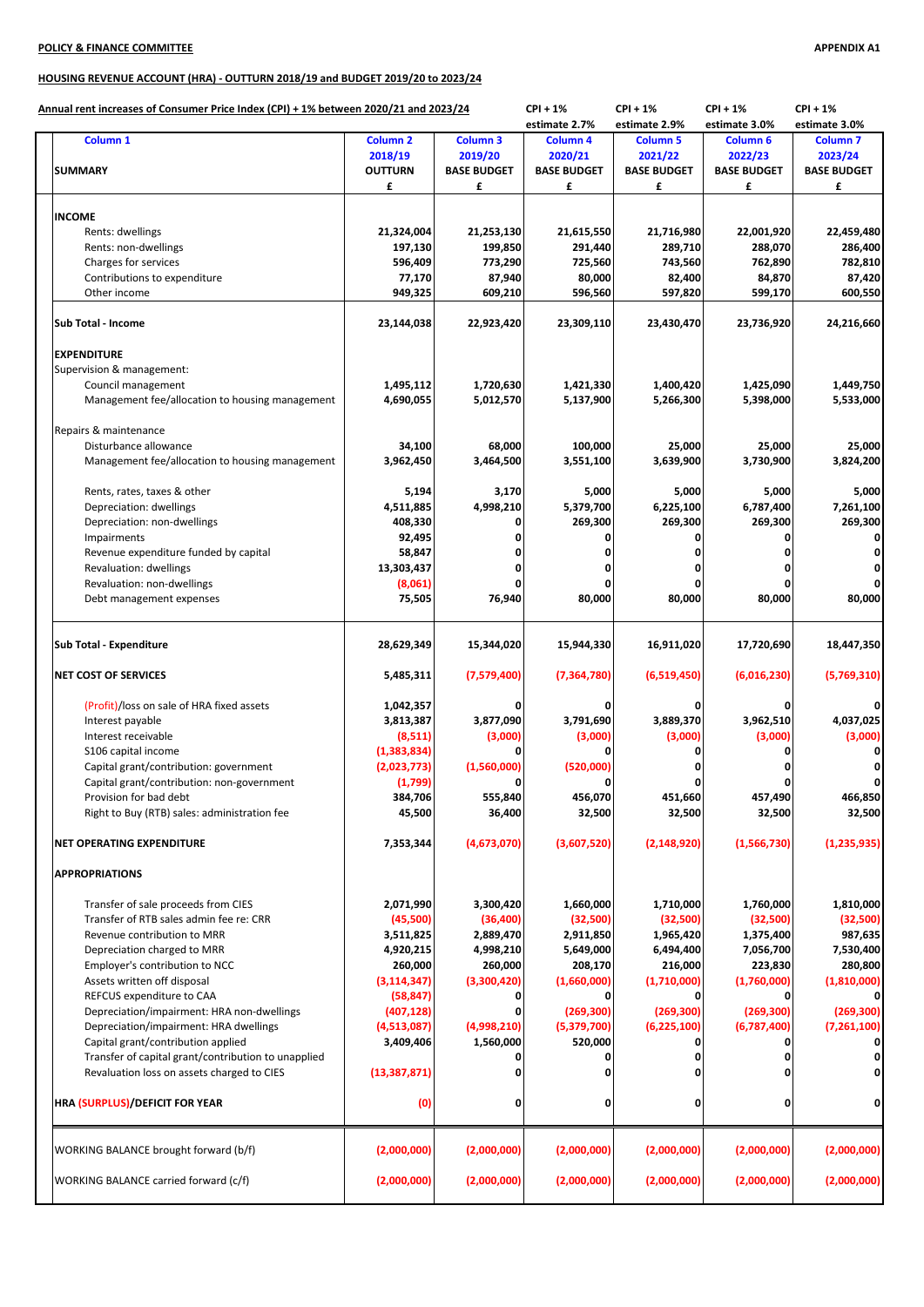## **POLICY & FINANCE COMMITTEE APPENDIX A1**

## **HOUSING REVENUE ACCOUNT (HRA) - OUTTURN 2018/19 and BUDGET 2019/20 to 2023/24**

| Annual rent increases of Consumer Price Index (CPI) + 1% between 2020/21 and 2023/24 |                          |                        | $CPI + 1%$             | $CPI + 1%$             | $CPI + 1%$             | $CPI + 1%$          |
|--------------------------------------------------------------------------------------|--------------------------|------------------------|------------------------|------------------------|------------------------|---------------------|
|                                                                                      |                          |                        | estimate 2.7%          | estimate 2.9%          | estimate 3.0%          | estimate 3.0%       |
| Column <sub>1</sub>                                                                  | <b>Column 2</b>          | Column <sub>3</sub>    | Column 4               | <b>Column 5</b>        | Column <sub>6</sub>    | Column <sub>7</sub> |
|                                                                                      | 2018/19                  | 2019/20                | 2020/21                | 2021/22                | 2022/23                | 2023/24             |
| <b>SUMMARY</b>                                                                       | <b>OUTTURN</b>           | <b>BASE BUDGET</b>     | <b>BASE BUDGET</b>     | <b>BASE BUDGET</b>     | <b>BASE BUDGET</b>     | <b>BASE BUDGET</b>  |
|                                                                                      | £                        | £                      | £                      | £                      | £                      | £                   |
|                                                                                      |                          |                        |                        |                        |                        |                     |
| <b>INCOME</b>                                                                        |                          |                        |                        |                        |                        |                     |
| Rents: dwellings                                                                     | 21,324,004               | 21,253,130             | 21,615,550             | 21,716,980             | 22,001,920             | 22,459,480          |
| Rents: non-dwellings                                                                 | 197,130                  | 199,850                | 291,440                | 289,710                | 288,070                | 286,400             |
| Charges for services                                                                 | 596,409                  | 773,290                | 725,560                | 743,560                | 762,890                | 782,810             |
| Contributions to expenditure                                                         | 77,170                   | 87,940                 | 80,000                 | 82,400                 | 84,870                 | 87,420              |
| Other income                                                                         | 949,325                  | 609,210                | 596,560                | 597,820                | 599,170                | 600,550             |
| <b>Sub Total - Income</b>                                                            | 23,144,038               | 22,923,420             | 23,309,110             | 23,430,470             | 23,736,920             | 24,216,660          |
| <b>EXPENDITURE</b>                                                                   |                          |                        |                        |                        |                        |                     |
| Supervision & management:                                                            |                          |                        |                        |                        |                        |                     |
| Council management                                                                   | 1,495,112                | 1,720,630              | 1,421,330              | 1,400,420              | 1,425,090              | 1,449,750           |
| Management fee/allocation to housing management                                      | 4,690,055                | 5,012,570              | 5,137,900              | 5,266,300              | 5,398,000              | 5,533,000           |
|                                                                                      |                          |                        |                        |                        |                        |                     |
| Repairs & maintenance                                                                |                          |                        |                        |                        |                        |                     |
| Disturbance allowance                                                                | 34,100                   | 68,000                 | 100,000                | 25,000                 | 25,000                 | 25,000              |
| Management fee/allocation to housing management                                      | 3,962,450                | 3,464,500              | 3,551,100              | 3,639,900              | 3,730,900              | 3,824,200           |
|                                                                                      |                          |                        |                        |                        |                        |                     |
| Rents, rates, taxes & other                                                          | 5,194                    | 3,170                  | 5,000                  | 5,000                  | 5,000                  | 5,000               |
| Depreciation: dwellings                                                              | 4,511,885                | 4,998,210              | 5,379,700              | 6,225,100              | 6,787,400              | 7,261,100           |
| Depreciation: non-dwellings                                                          | 408,330                  |                        | 269,300                | 269,300                | 269,300                | 269,300             |
| Impairments                                                                          | 92,495                   |                        | Ω                      |                        |                        | 0                   |
| Revenue expenditure funded by capital                                                | 58,847                   |                        |                        |                        |                        |                     |
| Revaluation: dwellings                                                               | 13,303,437               | 0                      | 0                      |                        |                        |                     |
| Revaluation: non-dwellings                                                           | (8,061)                  |                        |                        |                        |                        |                     |
| Debt management expenses                                                             | 75,505                   | 76,940                 | 80,000                 | 80,000                 | 80,000                 | 80,000              |
| Sub Total - Expenditure                                                              | 28,629,349               | 15,344,020             | 15,944,330             | 16,911,020             | 17,720,690             | 18,447,350          |
|                                                                                      |                          |                        |                        |                        |                        |                     |
| <b>NET COST OF SERVICES</b>                                                          | 5,485,311                | (7,579,400)            | (7, 364, 780)          | (6,519,450)            | (6,016,230)            | (5,769,310)         |
| (Profit)/loss on sale of HRA fixed assets                                            | 1,042,357                |                        | O                      |                        |                        |                     |
| Interest payable                                                                     | 3,813,387                | 3,877,090              | 3,791,690              | 3,889,370              | 3,962,510              | 4,037,025           |
| Interest receivable                                                                  | (8,511)                  | (3,000)                | (3,000)                | (3,000)                | (3,000)                | (3,000)             |
| S106 capital income                                                                  | (1,383,834)              |                        |                        |                        |                        |                     |
| Capital grant/contribution: government                                               | (2,023,773)              | (1,560,000)            | (520,000)              |                        |                        |                     |
| Capital grant/contribution: non-government                                           | (1,799)                  |                        | 0                      |                        |                        |                     |
| Provision for bad debt                                                               | 384,706                  | 555.840                | 456.070                | 451.660                | 457,490                | 466,850             |
| Right to Buy (RTB) sales: administration fee                                         | 45,500                   | 36,400                 | 32,500                 | 32,500                 | 32,500                 | 32,500              |
| <b>NET OPERATING EXPENDITURE</b>                                                     | 7,353,344                | (4,673,070)            | (3,607,520)            | (2, 148, 920)          | (1,566,730)            | (1, 235, 935)       |
|                                                                                      |                          |                        |                        |                        |                        |                     |
| <b>APPROPRIATIONS</b>                                                                |                          |                        |                        |                        |                        |                     |
| Transfer of sale proceeds from CIES                                                  | 2,071,990                | 3,300,420              | 1,660,000              | 1,710,000              | 1,760,000              | 1,810,000           |
| Transfer of RTB sales admin fee re: CRR                                              | (45,500)                 | (36, 400)              | (32,500)               | (32,500)               | (32,500)               | (32,500)            |
| Revenue contribution to MRR                                                          | 3,511,825                | 2,889,470              | 2,911,850              | 1,965,420              | 1,375,400              | 987,635             |
| Depreciation charged to MRR                                                          | 4,920,215                | 4,998,210              | 5,649,000              | 6,494,400              | 7,056,700              | 7,530,400           |
|                                                                                      |                          |                        |                        |                        |                        | 280,800             |
| Employer's contribution to NCC<br>Assets written off disposal                        | 260,000<br>(3, 114, 347) | 260,000<br>(3,300,420) | 208,170<br>(1,660,000) | 216,000<br>(1,710,000) | 223,830<br>(1,760,000) | (1,810,000)         |
| REFCUS expenditure to CAA                                                            | (58, 847)                |                        | O                      |                        |                        |                     |
| Depreciation/impairment: HRA non-dwellings                                           |                          | 0                      |                        | (269, 300)             | (269, 300)             | (269, 300)          |
|                                                                                      | (407, 128)               |                        | (269, 300)             |                        |                        |                     |
| Depreciation/impairment: HRA dwellings                                               | (4,513,087)              | (4,998,210)            | (5,379,700)            | (6,225,100)            | (6,787,400)            | (7,261,100)         |
| Capital grant/contribution applied                                                   | 3,409,406                | 1,560,000              | 520,000                |                        |                        |                     |
| Transfer of capital grant/contribution to unapplied                                  |                          |                        | O                      |                        |                        |                     |
| Revaluation loss on assets charged to CIES                                           | (13, 387, 871)           |                        | Ω                      |                        |                        |                     |
| <b>HRA (SURPLUS)/DEFICIT FOR YEAR</b>                                                | (0)                      | 0                      | 0                      | 0                      |                        |                     |
| WORKING BALANCE brought forward (b/f)                                                | (2,000,000)              | (2,000,000)            | (2,000,000)            | (2,000,000)            | (2,000,000)            | (2,000,000)         |
| WORKING BALANCE carried forward (c/f)                                                | (2,000,000)              | (2,000,000)            | (2,000,000)            | (2,000,000)            | (2,000,000)            | (2,000,000)         |
|                                                                                      |                          |                        |                        |                        |                        |                     |